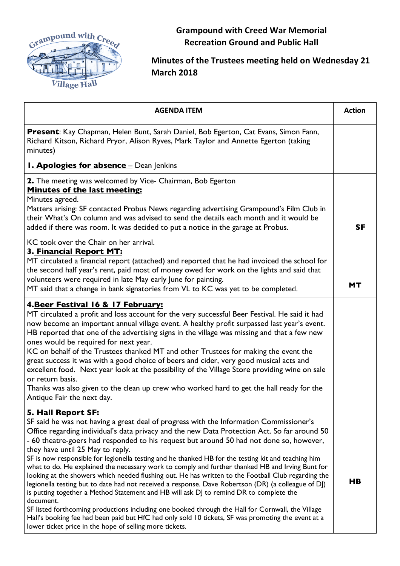

**Grampound with Creed War Memorial Recreation Ground and Public Hall**

## **Minutes of the Trustees meeting held on Wednesday 21 March 2018**

| <b>AGENDA ITEM</b>                                                                                                                                                                                                                                                                                                                                                                                                                                                                                                                                                                                                                                                                                                                                                                                                                                                                                                                                                                                                                                                                                                                                | <b>Action</b>  |
|---------------------------------------------------------------------------------------------------------------------------------------------------------------------------------------------------------------------------------------------------------------------------------------------------------------------------------------------------------------------------------------------------------------------------------------------------------------------------------------------------------------------------------------------------------------------------------------------------------------------------------------------------------------------------------------------------------------------------------------------------------------------------------------------------------------------------------------------------------------------------------------------------------------------------------------------------------------------------------------------------------------------------------------------------------------------------------------------------------------------------------------------------|----------------|
| Present: Kay Chapman, Helen Bunt, Sarah Daniel, Bob Egerton, Cat Evans, Simon Fann,<br>Richard Kitson, Richard Pryor, Alison Ryves, Mark Taylor and Annette Egerton (taking<br>minutes)                                                                                                                                                                                                                                                                                                                                                                                                                                                                                                                                                                                                                                                                                                                                                                                                                                                                                                                                                           |                |
| <b>1. Apologies for absence - Dean Jenkins</b>                                                                                                                                                                                                                                                                                                                                                                                                                                                                                                                                                                                                                                                                                                                                                                                                                                                                                                                                                                                                                                                                                                    |                |
| 2. The meeting was welcomed by Vice- Chairman, Bob Egerton<br><b>Minutes of the last meeting:</b><br>Minutes agreed.<br>Matters arising: SF contacted Probus News regarding advertising Grampound's Film Club in<br>their What's On column and was advised to send the details each month and it would be<br>added if there was room. It was decided to put a notice in the garage at Probus.                                                                                                                                                                                                                                                                                                                                                                                                                                                                                                                                                                                                                                                                                                                                                     | <b>SF</b>      |
| KC took over the Chair on her arrival.<br>3. Financial Report MT:<br>MT circulated a financial report (attached) and reported that he had invoiced the school for<br>the second half year's rent, paid most of money owed for work on the lights and said that<br>volunteers were required in late May early June for painting.<br>MT said that a change in bank signatories from VL to KC was yet to be completed.                                                                                                                                                                                                                                                                                                                                                                                                                                                                                                                                                                                                                                                                                                                               | <b>MT</b>      |
| 4. Beer Festival 16 & 17 February:<br>MT circulated a profit and loss account for the very successful Beer Festival. He said it had<br>now become an important annual village event. A healthy profit surpassed last year's event.<br>HB reported that one of the advertising signs in the village was missing and that a few new<br>ones would be required for next year.<br>KC on behalf of the Trustees thanked MT and other Trustees for making the event the<br>great success it was with a good choice of beers and cider, very good musical acts and<br>excellent food. Next year look at the possibility of the Village Store providing wine on sale<br>or return basis.<br>Thanks was also given to the clean up crew who worked hard to get the hall ready for the<br>Antique Fair the next day.                                                                                                                                                                                                                                                                                                                                        |                |
| 5. Hall Report SF:<br>SF said he was not having a great deal of progress with the Information Commissioner's<br>Office regarding individual's data privacy and the new Data Protection Act. So far around 50<br>- 60 theatre-goers had responded to his request but around 50 had not done so, however,<br>they have until 25 May to reply.<br>SF is now responsible for legionella testing and he thanked HB for the testing kit and teaching him<br>what to do. He explained the necessary work to comply and further thanked HB and Irving Bunt for<br>looking at the showers which needed flushing out. He has written to the Football Club regarding the<br>legionella testing but to date had not received a response. Dave Robertson (DR) (a colleague of DJ)<br>is putting together a Method Statement and HB will ask DJ to remind DR to complete the<br>document.<br>SF listed forthcoming productions including one booked through the Hall for Cornwall, the Village<br>Hall's booking fee had been paid but HfC had only sold 10 tickets, SF was promoting the event at a<br>lower ticket price in the hope of selling more tickets. | H <sub>B</sub> |